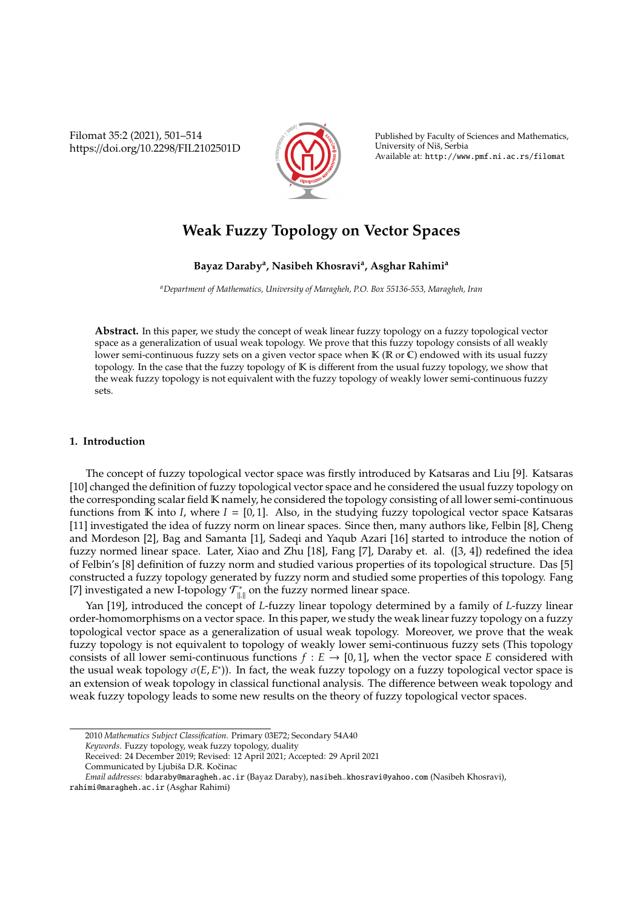Filomat 35:2 (2021), 501–514 https://doi.org/10.2298/FIL2102501D



Published by Faculty of Sciences and Mathematics, University of Nis, Serbia ˇ Available at: http://www.pmf.ni.ac.rs/filomat

# **Weak Fuzzy Topology on Vector Spaces**

**Bayaz Daraby<sup>a</sup> , Nasibeh Khosravi<sup>a</sup> , Asghar Rahimi<sup>a</sup>**

*<sup>a</sup>Department of Mathematics, University of Maragheh, P.O. Box 55136-553, Maragheh, Iran*

**Abstract.** In this paper, we study the concept of weak linear fuzzy topology on a fuzzy topological vector space as a generalization of usual weak topology. We prove that this fuzzy topology consists of all weakly lower semi-continuous fuzzy sets on a given vector space when  $\mathbb{K}$  ( $\mathbb{R}$  or  $\mathbb{C}$ ) endowed with its usual fuzzy topology. In the case that the fuzzy topology of K is different from the usual fuzzy topology, we show that the weak fuzzy topology is not equivalent with the fuzzy topology of weakly lower semi-continuous fuzzy sets.

## **1. Introduction**

The concept of fuzzy topological vector space was firstly introduced by Katsaras and Liu [9]. Katsaras [10] changed the definition of fuzzy topological vector space and he considered the usual fuzzy topology on the corresponding scalar field K namely, he considered the topology consisting of all lower semi-continuous functions from K into *I*, where  $I = [0, 1]$ . Also, in the studying fuzzy topological vector space Katsaras [11] investigated the idea of fuzzy norm on linear spaces. Since then, many authors like, Felbin [8], Cheng and Mordeson [2], Bag and Samanta [1], Sadeqi and Yaqub Azari [16] started to introduce the notion of fuzzy normed linear space. Later, Xiao and Zhu [18], Fang [7], Daraby et. al. ([3, 4]) redefined the idea of Felbin's [8] definition of fuzzy norm and studied various properties of its topological structure. Das [5] constructed a fuzzy topology generated by fuzzy norm and studied some properties of this topology. Fang [7] investigated a new I-topology  $\mathcal{T}_{\|\cdot\|}^*$  on the fuzzy normed linear space.

Yan [19], introduced the concept of *L*-fuzzy linear topology determined by a family of *L*-fuzzy linear order-homomorphisms on a vector space. In this paper, we study the weak linear fuzzy topology on a fuzzy topological vector space as a generalization of usual weak topology. Moreover, we prove that the weak fuzzy topology is not equivalent to topology of weakly lower semi-continuous fuzzy sets (This topology consists of all lower semi-continuous functions  $f : E \to [0,1]$ , when the vector space *E* considered with the usual weak topology σ(*E*, *E* ∗ )). In fact, the weak fuzzy topology on a fuzzy topological vector space is an extension of weak topology in classical functional analysis. The difference between weak topology and weak fuzzy topology leads to some new results on the theory of fuzzy topological vector spaces.

<sup>2010</sup> *Mathematics Subject Classification*. Primary 03E72; Secondary 54A40

*Keywords*. Fuzzy topology, weak fuzzy topology, duality

Received: 24 December 2019; Revised: 12 April 2021; Accepted: 29 April 2021 Communicated by Ljubiša D.R. Kočinac

*Email addresses:* bdaraby@maragheh.ac.ir (Bayaz Daraby), nasibeh−khosravi@yahoo.com (Nasibeh Khosravi),

rahimi@maragheh.ac.ir (Asghar Rahimi)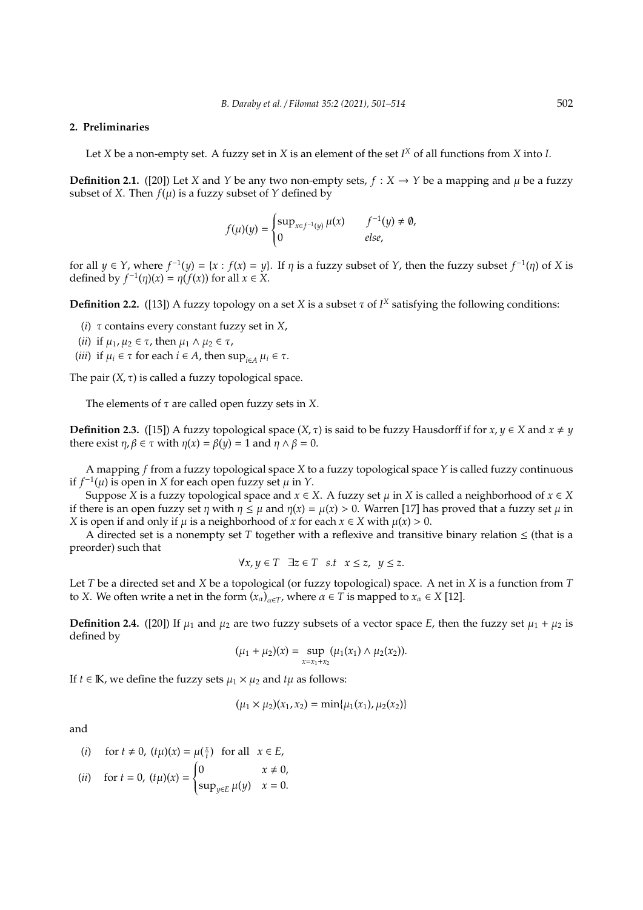## **2. Preliminaries**

Let *X* be a non-empty set. A fuzzy set in *X* is an element of the set *I <sup>X</sup>* of all functions from *X* into *I*.

**Definition 2.1.** ([20]) Let *X* and *Y* be any two non-empty sets,  $f : X \rightarrow Y$  be a mapping and  $\mu$  be a fuzzy subset of *X*. Then  $f(\mu)$  is a fuzzy subset of *Y* defined by

$$
f(\mu)(y) = \begin{cases} \sup_{x \in f^{-1}(y)} \mu(x) & f^{-1}(y) \neq \emptyset, \\ 0 & else, \end{cases}
$$

for all  $y \in Y$ , where  $f^{-1}(y) = \{x : f(x) = y\}$ . If  $\eta$  is a fuzzy subset of *Y*, then the fuzzy subset  $f^{-1}(\eta)$  of *X* is defined by  $f^{-1}(\eta)(x) = \eta(f(x))$  for all  $x \in X$ .

**Definition 2.2.** ([13]) A fuzzy topology on a set *X* is a subset  $\tau$  of *I<sup>X</sup>* satisfying the following conditions:

(*i*) τ contains every constant fuzzy set in *X*,

- (*ii*) if  $\mu_1, \mu_2 \in \tau$ , then  $\mu_1 \wedge \mu_2 \in \tau$ ,
- (*iii*) if  $\mu_i \in \tau$  for each  $i \in A$ , then  $\sup_{i \in A} \mu_i \in \tau$ .

The pair  $(X, \tau)$  is called a fuzzy topological space.

The elements of  $\tau$  are called open fuzzy sets in *X*.

**Definition 2.3.** ([15]) A fuzzy topological space  $(X, \tau)$  is said to be fuzzy Hausdorff if for  $x, y \in X$  and  $x \neq y$ there exist  $\eta$ ,  $\beta \in \tau$  with  $\eta(x) = \beta(y) = 1$  and  $\eta \wedge \beta = 0$ .

A mapping *f* from a fuzzy topological space *X* to a fuzzy topological space *Y* is called fuzzy continuous if  $f^{-1}(\mu)$  is open in *X* for each open fuzzy set  $\mu$  in *Y*.

Suppose *X* is a fuzzy topological space and  $x \in X$ . A fuzzy set  $\mu$  in *X* is called a neighborhood of  $x \in X$ if there is an open fuzzy set  $\eta$  with  $\eta \leq \mu$  and  $\eta(x) = \mu(x) > 0$ . Warren [17] has proved that a fuzzy set  $\mu$  in *X* is open if and only if  $\mu$  is a neighborhood of *x* for each  $x \in X$  with  $\mu(x) > 0$ .

A directed set is a nonempty set *T* together with a reflexive and transitive binary relation  $\leq$  (that is a preorder) such that

$$
\forall x, y \in T \quad \exists z \in T \quad s.t \quad x \le z, \quad y \le z.
$$

Let *T* be a directed set and *X* be a topological (or fuzzy topological) space. A net in *X* is a function from *T* to *X*. We often write a net in the form  $(x_\alpha)_{\alpha \in T}$ , where  $\alpha \in T$  is mapped to  $x_\alpha \in X$  [12].

**Definition 2.4.** ([20]) If  $\mu_1$  and  $\mu_2$  are two fuzzy subsets of a vector space *E*, then the fuzzy set  $\mu_1 + \mu_2$  is defined by

$$
(\mu_1 + \mu_2)(x) = \sup_{x = x_1 + x_2} (\mu_1(x_1) \wedge \mu_2(x_2)).
$$

If *t* ∈ **K**, we define the fuzzy sets  $\mu_1 \times \mu_2$  and  $t\mu$  as follows:

 $(\mu_1 \times \mu_2)(x_1, x_2) = \min{\mu_1(x_1), \mu_2(x_2)}$ 

and

$$
(i) \quad \text{ for } t \neq 0, \; (t\mu)(x) = \mu(\tfrac{x}{t}) \; \text{ for all } \; x \in E,
$$

(*ii*) for 
$$
t = 0
$$
,  $(t\mu)(x) = \begin{cases} 0 & x \neq 0, \\ \sup_{y \in E} \mu(y) & x = 0. \end{cases}$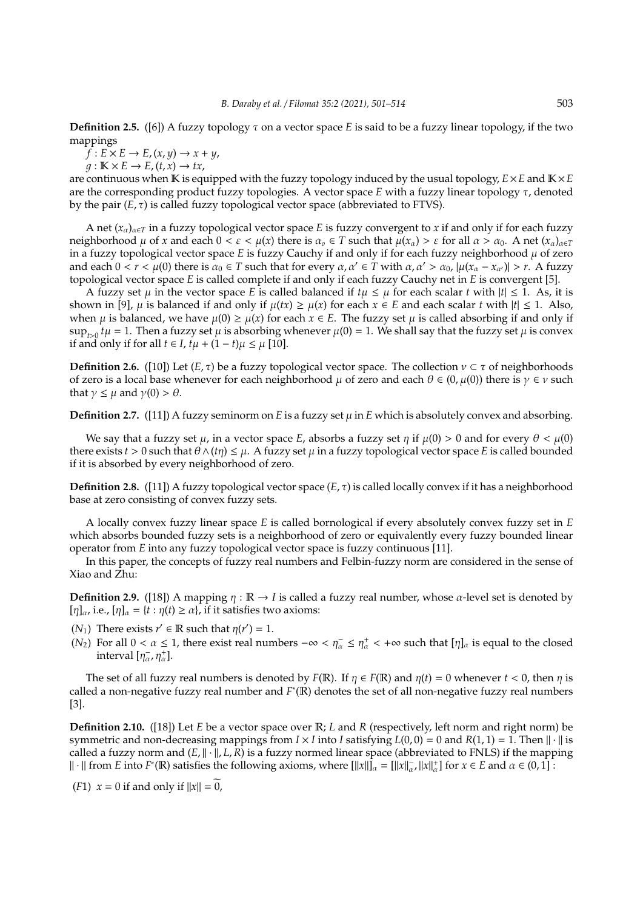**Definition 2.5.** ([6]) A fuzzy topology  $\tau$  on a vector space *E* is said to be a fuzzy linear topology, if the two mappings

 $f: E \times E \rightarrow E$ ,  $(x, y) \rightarrow x + y$ ,

 $q : \mathbb{K} \times E \to E$ ,  $(t, x) \to tx$ ,

are continuous when K is equipped with the fuzzy topology induced by the usual topology,  $E \times E$  and  $K \times E$ are the corresponding product fuzzy topologies. A vector space *E* with a fuzzy linear topology τ, denoted by the pair (*E*, τ) is called fuzzy topological vector space (abbreviated to FTVS).

A net  $(x_\alpha)_{\alpha \in T}$  in a fuzzy topological vector space *E* is fuzzy convergent to *x* if and only if for each fuzzy neighborhood  $\mu$  of *x* and each  $0 < \varepsilon < \mu(x)$  there is  $\alpha_0 \in T$  such that  $\mu(x_\alpha) > \varepsilon$  for all  $\alpha > \alpha_0$ . A net  $(x_\alpha)_{\alpha \in T}$ in a fuzzy topological vector space  $E$  is fuzzy Cauchy if and only if for each fuzzy neighborhood  $\mu$  of zero and each  $0 < r < \mu(0)$  there is  $\alpha_0 \in T$  such that for every  $\alpha, \alpha' \in T$  with  $\alpha, \alpha' > \alpha_0$ ,  $|\mu(x_\alpha - x_{\alpha'})| > r$ . A fuzzy topological vector space *E* is called complete if and only if each fuzzy Cauchy net in *E* is convergent [5].

A fuzzy set  $\mu$  in the vector space *E* is called balanced if  $t\mu \leq \mu$  for each scalar *t* with  $|t| \leq 1$ . As, it is shown in [9],  $\mu$  is balanced if and only if  $\mu(tx) \ge \mu(x)$  for each  $x \in E$  and each scalar *t* with  $|t| \le 1$ . Also, when  $\mu$  is balanced, we have  $\mu(0) \ge \mu(x)$  for each  $x \in E$ . The fuzzy set  $\mu$  is called absorbing if and only if  $\sup_{t>0}$   $t\mu$  = 1. Then a fuzzy set  $\mu$  is absorbing whenever  $\mu(0)$  = 1. We shall say that the fuzzy set  $\mu$  is convex if and only if for all *t* ∈ *I*,  $t\mu$  +  $(1-t)\mu$  ≤  $\mu$  [10].

**Definition 2.6.** ([10]) Let  $(E, \tau)$  be a fuzzy topological vector space. The collection  $\nu \subset \tau$  of neighborhoods of zero is a local base whenever for each neighborhood  $\mu$  of zero and each  $\theta \in (0, \mu(0))$  there is  $\gamma \in \nu$  such that  $\gamma \leq \mu$  and  $\gamma(0) > \theta$ .

**Definition 2.7.** ([11]) A fuzzy seminorm on *E* is a fuzzy set  $\mu$  in *E* which is absolutely convex and absorbing.

We say that a fuzzy set  $\mu$ , in a vector space *E*, absorbs a fuzzy set  $\eta$  if  $\mu(0) > 0$  and for every  $\theta < \mu(0)$ there exists *t* > 0 such that θ∧(*t*η) ≤ µ. A fuzzy set µ in a fuzzy topological vector space *E* is called bounded if it is absorbed by every neighborhood of zero.

**Definition 2.8.** ([11]) A fuzzy topological vector space (*E*, τ) is called locally convex if it has a neighborhood base at zero consisting of convex fuzzy sets.

A locally convex fuzzy linear space *E* is called bornological if every absolutely convex fuzzy set in *E* which absorbs bounded fuzzy sets is a neighborhood of zero or equivalently every fuzzy bounded linear operator from *E* into any fuzzy topological vector space is fuzzy continuous [11].

In this paper, the concepts of fuzzy real numbers and Felbin-fuzzy norm are considered in the sense of Xiao and Zhu:

**Definition 2.9.** ([18]) A mapping  $\eta : \mathbb{R} \to I$  is called a fuzzy real number, whose  $\alpha$ -level set is denoted by  $[\eta]_{\alpha}$ , i.e.,  $[\eta]_{\alpha} = \{t : \eta(t) \geq \alpha\}$ , if it satisfies two axioms:

- (*N*<sub>1</sub>) There exists  $r' \in \mathbb{R}$  such that  $\eta(r') = 1$ .
- (*N*<sub>2</sub>) For all  $0 < \alpha \le 1$ , there exist real numbers  $-\infty < \eta_{\alpha}^- \le \eta_{\alpha}^+ < +\infty$  such that  $[\eta]_{\alpha}$  is equal to the closed interval  $[\eta_{\alpha}^-, \eta_{\alpha}^+]$ .

The set of all fuzzy real numbers is denoted by  $F(\mathbb{R})$ . If  $\eta \in F(\mathbb{R})$  and  $\eta(t) = 0$  whenever  $t < 0$ , then  $\eta$  is called a non-negative fuzzy real number and *F*<sup>\*</sup>(ℝ) denotes the set of all non-negative fuzzy real numbers [3].

**Definition 2.10.** ([18]) Let *E* be a vector space over R; *L* and *R* (respectively, left norm and right norm) be symmetric and non-decreasing mappings from  $I \times I$  into *I* satisfying  $L(0,0) = 0$  and  $R(1, 1) = 1$ . Then  $\|\cdot\|$  is called a fuzzy norm and  $(E, ||\cdot||, L, R)$  is a fuzzy normed linear space (abbreviated to FNLS) if the mapping  $\|\cdot\|$  from *E* into *F*<sup>\*</sup>(**R**) satisfies the following axioms, where  $\|\|x\|_{\alpha}^{1} = \|\|x\|_{\alpha}^{-}$ ,  $\|x\|_{\alpha}^{+}$  for  $x \in E$  and  $\alpha \in (0, 1]$ :

(*F*1)  $x = 0$  if and only if  $||x|| = 0$ ,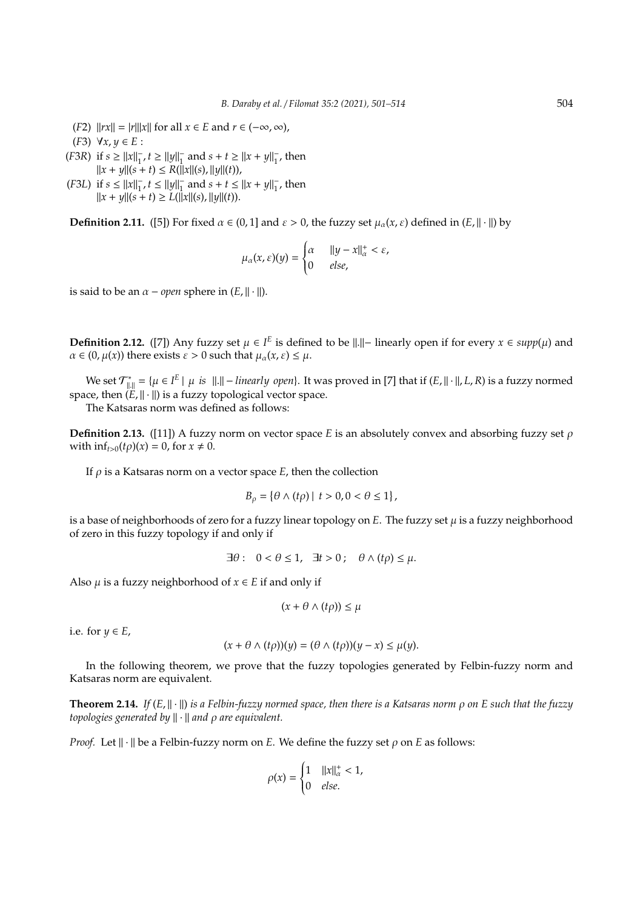- $(F2)$   $||rx|| = |r|||x||$  for all  $x \in E$  and  $r \in (-\infty, \infty)$ ,
- (*F*3) ∀*x*, *y* ∈ *E* :
- $(F3R)$  if  $s \ge ||x||_1^ _1^-, t \ge ||y||_1^ \frac{1}{1}$  and  $s + t \ge ||x + y||_1^2$  $\frac{1}{1}$ , then  $||x + y||(s + t) \le R(||x||(s), ||y||(t)),$
- $(F3L)$  if  $s \le ||x||_1^ \frac{1}{1}, t \leq ||y||_{1}^{-}$  $\frac{1}{1}$  and  $s + t \le ||x + y||_1^2$  $\frac{1}{1}$ , then  $||x + y||(s + t) \ge L(||x||(s), ||y||(t)).$

**Definition 2.11.** ([5]) For fixed  $\alpha \in (0, 1]$  and  $\varepsilon > 0$ , the fuzzy set  $\mu_{\alpha}(x, \varepsilon)$  defined in  $(E, || \cdot ||)$  by

$$
\mu_{\alpha}(x,\varepsilon)(y) = \begin{cases} \alpha & \|y - x\|_{\alpha}^+ < \varepsilon, \\ 0 & \text{else,} \end{cases}
$$

is said to be an  $\alpha$  – *open* sphere in  $(E, \|\cdot\|)$ .

**Definition 2.12.** ([7]) Any fuzzy set  $\mu \in I^E$  is defined to be  $\|\cdot\|$ – linearly open if for every *x* ∈ *supp*( $\mu$ ) and  $\alpha \in (0, \mu(x))$  there exists  $\varepsilon > 0$  such that  $\mu_{\alpha}(x, \varepsilon) \leq \mu$ .

We set  $\mathcal{T}_{\|\cdot\|}^* = \{\mu \in I^E \mid \mu \text{ is } \|\cdot\| - linearly \text{ open}\}\$ . It was proved in [7] that if  $(E, \|\cdot\|, L, R)$  is a fuzzy normed space, then  $(E, || \cdot ||)$  is a fuzzy topological vector space.

The Katsaras norm was defined as follows:

**Definition 2.13.** ([11]) A fuzzy norm on vector space *E* is an absolutely convex and absorbing fuzzy set  $\rho$ with  $\inf_{t>0}(t\rho)(x) = 0$ , for  $x \neq 0$ .

If  $\rho$  is a Katsaras norm on a vector space  $E$ , then the collection

 $B_{\rho} = \{ \theta \wedge (t\rho) \mid t > 0, 0 < \theta \le 1 \},$ 

is a base of neighborhoods of zero for a fuzzy linear topology on  $E$ . The fuzzy set  $\mu$  is a fuzzy neighborhood of zero in this fuzzy topology if and only if

$$
\exists \theta: \quad 0 < \theta \le 1, \quad \exists t > 0 \, ; \quad \theta \wedge (t\rho) \le \mu.
$$

Also  $\mu$  is a fuzzy neighborhood of  $x \in E$  if and only if

$$
(x+\theta\wedge(t\rho))\leq\mu
$$

i.e. for  $y \in E$ ,

$$
(x + \theta \wedge (t\rho))(y) = (\theta \wedge (t\rho))(y - x) \leq \mu(y).
$$

In the following theorem, we prove that the fuzzy topologies generated by Felbin-fuzzy norm and Katsaras norm are equivalent.

**Theorem 2.14.** *If* (*E*, k · k) *is a Felbin-fuzzy normed space, then there is a Katsaras norm* ρ *on E such that the fuzzy topologies generated by*  $\|\cdot\|$  *and ρ are equivalent.* 

*Proof.* Let  $\|\cdot\|$  be a Felbin-fuzzy norm on *E*. We define the fuzzy set ρ on *E* as follows:

$$
\rho(x) = \begin{cases} 1 & \|x\|_{\alpha}^+ < 1, \\ 0 & \text{else.} \end{cases}
$$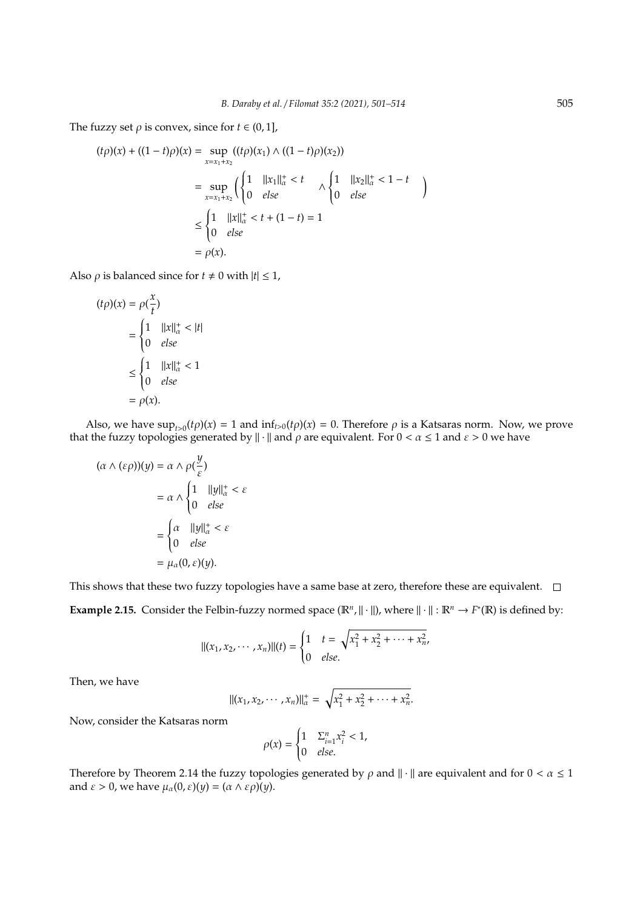The fuzzy set  $\rho$  is convex, since for  $t \in (0, 1]$ ,

$$
(t\rho)(x) + ((1-t)\rho)(x) = \sup_{x=x_1+x_2} ((t\rho)(x_1) \wedge ((1-t)\rho)(x_2))
$$
  
= 
$$
\sup_{x=x_1+x_2} \left( \begin{cases} 1 & ||x_1||_{\alpha}^+ < t \\ 0 & else \end{cases} \wedge \begin{cases} 1 & ||x_2||_{\alpha}^+ < 1-t \\ 0 & else \end{cases} \right)
$$
  

$$
\leq \begin{cases} 1 & ||x||_{\alpha}^+ < t + (1-t) = 1 \\ 0 & else \end{cases}
$$
  
=  $\rho(x).$ 

Also  $\rho$  is balanced since for  $t \neq 0$  with  $|t| \leq 1$ ,

$$
(t\rho)(x) = \rho(\frac{x}{t})
$$
  
= 
$$
\begin{cases} 1 & ||x||_{\alpha}^{+} < |t| \\ 0 & else \end{cases}
$$
  

$$
\leq \begin{cases} 1 & ||x||_{\alpha}^{+} < 1 \\ 0 & else \end{cases}
$$
  
= 
$$
\rho(x).
$$

Also, we have  $\sup_{t>0}(t\rho)(x) = 1$  and  $\inf_{t>0}(t\rho)(x) = 0$ . Therefore  $\rho$  is a Katsaras norm. Now, we prove that the fuzzy topologies generated by  $\|\cdot\|$  and  $\rho$  are equivalent. For  $0 < \alpha \leq 1$  and  $\varepsilon > 0$  we have

$$
(\alpha \wedge (\varepsilon \rho))(y) = \alpha \wedge \rho(\frac{y}{\varepsilon})
$$
  
=  $\alpha \wedge \begin{cases} 1 & ||y||_{\alpha}^{+} < \varepsilon \\ 0 & else \end{cases}$   
=  $\begin{cases} \alpha & ||y||_{\alpha}^{+} < \varepsilon \\ 0 & else \end{cases}$   
=  $\mu_{\alpha}(0, \varepsilon)(y).$ 

This shows that these two fuzzy topologies have a same base at zero, therefore these are equivalent.  $\Box$ 

**Example 2.15.** Consider the Felbin-fuzzy normed space  $(\mathbb{R}^n, ||\cdot||)$ , where  $||\cdot||: \mathbb{R}^n \to F^*(\mathbb{R})$  is defined by:

$$
|| (x_1, x_2, \cdots, x_n) ||(t) = \begin{cases} 1 & t = \sqrt{x_1^2 + x_2^2 + \cdots + x_n^2}, \\ 0 & else. \end{cases}
$$

Then, we have

$$
||(x_1, x_2, \cdots, x_n)||_{\alpha}^+ = \sqrt{x_1^2 + x_2^2 + \cdots + x_n^2}.
$$

Now, consider the Katsaras norm

$$
\rho(x) = \begin{cases} 1 & \sum_{i=1}^{n} x_i^2 < 1, \\ 0 & \text{else.} \end{cases}
$$

Therefore by Theorem 2.14 the fuzzy topologies generated by  $\rho$  and  $\|\cdot\|$  are equivalent and for  $0 < \alpha \le 1$ and  $\varepsilon > 0$ , we have  $\mu_{\alpha}(0, \varepsilon)(y) = (\alpha \wedge \varepsilon \rho)(y)$ .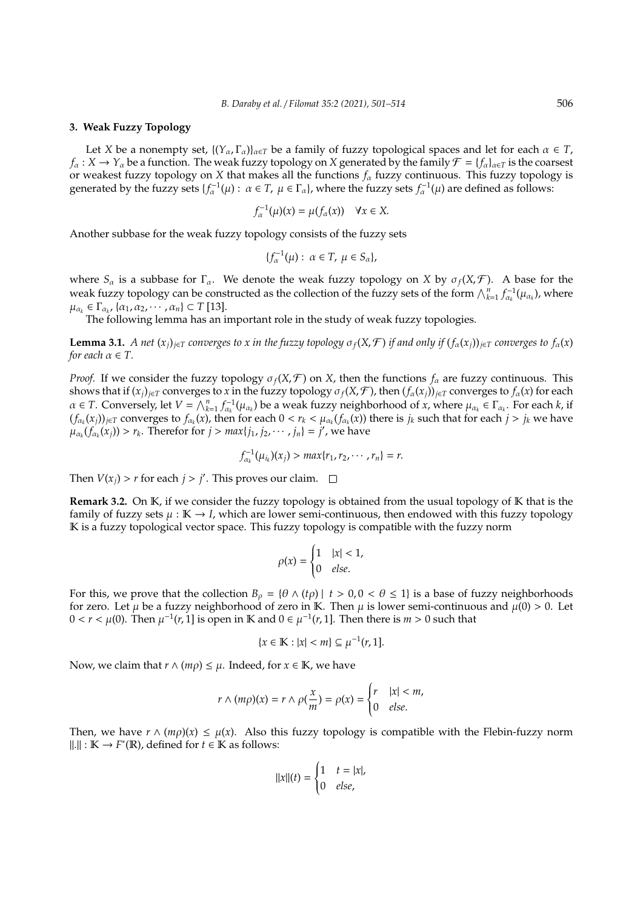### **3. Weak Fuzzy Topology**

Let *X* be a nonempty set,  $\{(Y_\alpha, \Gamma_\alpha)\}_{\alpha \in T}$  be a family of fuzzy topological spaces and let for each  $\alpha \in T$ ,  $f_\alpha: X \to Y_\alpha$  be a function. The weak fuzzy topology on *X* generated by the family  $\mathcal{F} = \{f_\alpha\}_{\alpha \in T}$  is the coarsest or weakest fuzzy topology on *X* that makes all the functions *f*<sup>α</sup> fuzzy continuous. This fuzzy topology is generated by the fuzzy sets  $\{f_\alpha^{-1}(\mu): \alpha \in \Gamma, \mu \in \Gamma_\alpha\}$ , where the fuzzy sets  $f_\alpha^{-1}(\mu)$  are defined as follows:

$$
f_{\alpha}^{-1}(\mu)(x) = \mu(f_{\alpha}(x)) \quad \forall x \in X.
$$

Another subbase for the weak fuzzy topology consists of the fuzzy sets

$$
\{f_\alpha^{-1}(\mu):\ \alpha\in T,\ \mu\in S_\alpha\},
$$

where  $S_\alpha$  is a subbase for  $\Gamma_\alpha$ . We denote the weak fuzzy topology on *X* by  $\sigma_f(X,\mathcal{F})$ . A base for the weak fuzzy topology can be constructed as the collection of the fuzzy sets of the form  $\bigwedge_{k=1}^n f_{\alpha_k}^{-1}(\mu_{\alpha_k})$ , where  $\mu_{\alpha_k} \in \Gamma_{\alpha_k}$ ,  $\{\alpha_1, \alpha_2, \cdots, \alpha_n\} \subset T$  [13].

The following lemma has an important role in the study of weak fuzzy topologies.

**Lemma 3.1.** A net  $(x_i)_{i \in \mathcal{I}}$  converges to x in the fuzzy topology  $\sigma_f(X, \mathcal{F})$  if and only if  $(f_\alpha(x_i))_{i \in \mathcal{I}}$  converges to  $f_\alpha(x)$ *for each*  $\alpha \in T$ *.* 

*Proof.* If we consider the fuzzy topology  $\sigma_f(X, \mathcal{F})$  on *X*, then the functions  $f_\alpha$  are fuzzy continuous. This shows that if  $(x_i)_{i \in T}$  converges to *x* in the fuzzy topology  $\sigma_f(X, \mathcal{F})$ , then  $(f_\alpha(x_i))_{i \in T}$  converges to  $f_\alpha(x)$  for each  $\alpha \in T$ . Conversely, let  $V = \bigwedge_{k=1}^{n} f_{\alpha_k}^{-1}(\mu_{\alpha_k})$  be a weak fuzzy neighborhood of *x*, where  $\mu_{\alpha_k} \in \Gamma_{\alpha_k}$ . For each *k*, if  $(f_{\alpha_k}(x_j))_{j\in T}$  converges to  $f_{\alpha_k}(x)$ , then for each  $0 < r_k < \mu_{\alpha_k}(f_{\alpha_k}(x))$  there is  $j_k$  such that for each  $j > j_k$  we have  $\mu_{\alpha_k}(f_{\alpha_k}(x_j)) > r_k$ . Therefor for  $j > max\{j_1, j_2, \dots, j_n\} = j'$ , we have

$$
f_{\alpha_k}^{-1}(\mu_{i_k})(x_j) > max\{r_1, r_2, \cdots, r_n\} = r.
$$

Then  $V(x_j) > r$  for each  $j > j'$ . This proves our claim.

**Remark 3.2.** On K, if we consider the fuzzy topology is obtained from the usual topology of K that is the family of fuzzy sets  $\mu : \mathbb{K} \to I$ , which are lower semi-continuous, then endowed with this fuzzy topology K is a fuzzy topological vector space. This fuzzy topology is compatible with the fuzzy norm

$$
\rho(x) = \begin{cases} 1 & |x| < 1, \\ 0 & else. \end{cases}
$$

For this, we prove that the collection  $B_\rho = \{\theta \wedge (t\rho) \mid t > 0, 0 < \theta \le 1\}$  is a base of fuzzy neighborhoods for zero. Let  $\mu$  be a fuzzy neighborhood of zero in K. Then  $\mu$  is lower semi-continuous and  $\mu(0) > 0$ . Let 0 < *r* <  $\mu$ (0). Then  $\mu^{-1}(r, 1]$  is open in K and 0 ∈  $\mu^{-1}(r, 1]$ . Then there is *m* > 0 such that

$$
\{x \in \mathbb{K} : |x| < m\} \subseteq \mu^{-1}(r, 1].
$$

Now, we claim that  $r \wedge (m\rho) \leq \mu$ . Indeed, for  $x \in \mathbb{K}$ , we have

$$
r \wedge (m\rho)(x) = r \wedge \rho(\frac{x}{m}) = \rho(x) = \begin{cases} r & |x| < m, \\ 0 & else. \end{cases}
$$

Then, we have  $r \wedge (m\rho)(x) \leq \mu(x)$ . Also this fuzzy topology is compatible with the Flebin-fuzzy norm  $\|\cdot\|$  : **K** → *F*<sup>\*</sup>(**R**), defined for *t* ∈ **K** as follows:

$$
||x||(t) = \begin{cases} 1 & t = |x|, \\ 0 & else, \end{cases}
$$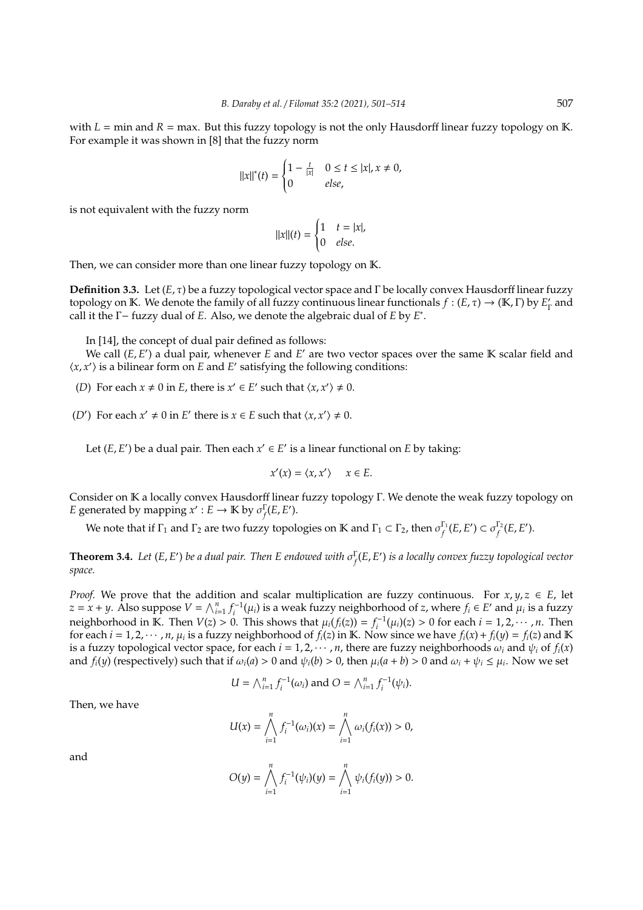with  $L = \min$  and  $R = \max$ . But this fuzzy topology is not the only Hausdorff linear fuzzy topology on K. For example it was shown in [8] that the fuzzy norm

$$
||x||^{*}(t) = \begin{cases} 1 - \frac{t}{|x|} & 0 \le t \le |x|, x \ne 0, \\ 0 & else, \end{cases}
$$

is not equivalent with the fuzzy norm

$$
||x||(t) = \begin{cases} 1 & t = |x|, \\ 0 & else. \end{cases}
$$

Then, we can consider more than one linear fuzzy topology on K.

**Definition 3.3.** Let  $(E, \tau)$  be a fuzzy topological vector space and Γ be locally convex Hausdorff linear fuzzy topology on K. We denote the family of all fuzzy continuous linear functionals  $f : (E, \tau) \to (K, \Gamma)$  by  $E_1$  $T'$  and call it the Γ− fuzzy dual of *E*. Also, we denote the algebraic dual of *E* by *E* ∗ .

In [14], the concept of dual pair defined as follows:

We call  $(E, E')$  a dual pair, whenever  $E$  and  $E'$  are two vector spaces over the same  $K$  scalar field and  $\langle x, x' \rangle$  is a bilinear form on *E* and *E*' satisfying the following conditions:

(*D*) For each  $x \neq 0$  in *E*, there is  $x' \in E'$  such that  $\langle x, x' \rangle \neq 0$ .

(*D*<sup> $\prime$ </sup>) For each  $x' \neq 0$  in *E*<sup> $\prime$ </sup> there is  $x \in E$  such that  $\langle x, x' \rangle \neq 0$ .

Let  $(E, E')$  be a dual pair. Then each  $x' \in E'$  is a linear functional on  $E$  by taking:

$$
x'(x) = \langle x, x' \rangle \quad x \in E.
$$

Consider on K a locally convex Hausdorff linear fuzzy topology Γ. We denote the weak fuzzy topology on *E* generated by mapping  $x' : E \to \mathbb{K}$  by  $\sigma_f^{\Gamma}(E, E')$ .

We note that if  $\Gamma_1$  and  $\Gamma_2$  are two fuzzy topologies on  $\mathbb K$  and  $\Gamma_1 \subset \Gamma_2$ , then  $\sigma_f^{\Gamma_1}(E,E') \subset \sigma_f^{\Gamma_2}(E,E').$ 

**Theorem 3.4.** Let (E, E') be a dual pair. Then E endowed with  $\sigma_f^{\Gamma}(E, E')$  is a locally convex fuzzy topological vector *space.*

*Proof.* We prove that the addition and scalar multiplication are fuzzy continuous. For *x*, *y*, *z* ∈ *E*, let  $z = x + y$ . Also suppose  $V = \bigwedge_{i=1}^{n} f_i^{-1}(\mu_i)$  is a weak fuzzy neighborhood of *z*, where  $f_i \in E'$  and  $\mu_i$  is a fuzzy neighborhood in K. Then  $V(z) > 0$ . This shows that  $\mu_i(f_i(z)) = f_i^{-1}(\mu_i)(z) > 0$  for each  $i = 1, 2, \dots, n$ . Then for each  $i = 1, 2, \dots, n$ ,  $\mu_i$  is a fuzzy neighborhood of  $f_i(z)$  in K. Now since we have  $f_i(x) + f_i(y) = f_i(z)$  and K is a fuzzy topological vector space, for each  $i = 1, 2, \cdots, n$ , there are fuzzy neighborhoods  $\omega_i$  and  $\psi_i$  of  $f_i(x)$ and  $f_i(y)$  (respectively) such that if  $\omega_i(a) > 0$  and  $\psi_i(b) > 0$ , then  $\mu_i(a+b) > 0$  and  $\omega_i + \psi_i \le \mu_i$ . Now we set

$$
U = \bigwedge_{i=1}^{n} f_i^{-1}(\omega_i) \text{ and } O = \bigwedge_{i=1}^{n} f_i^{-1}(\psi_i).
$$

Then, we have

$$
U(x) = \bigwedge_{i=1}^{n} f_i^{-1}(\omega_i)(x) = \bigwedge_{i=1}^{n} \omega_i(f_i(x)) > 0,
$$

and

$$
O(y) = \bigwedge_{i=1}^{n} f_i^{-1}(\psi_i)(y) = \bigwedge_{i=1}^{n} \psi_i(f_i(y)) > 0.
$$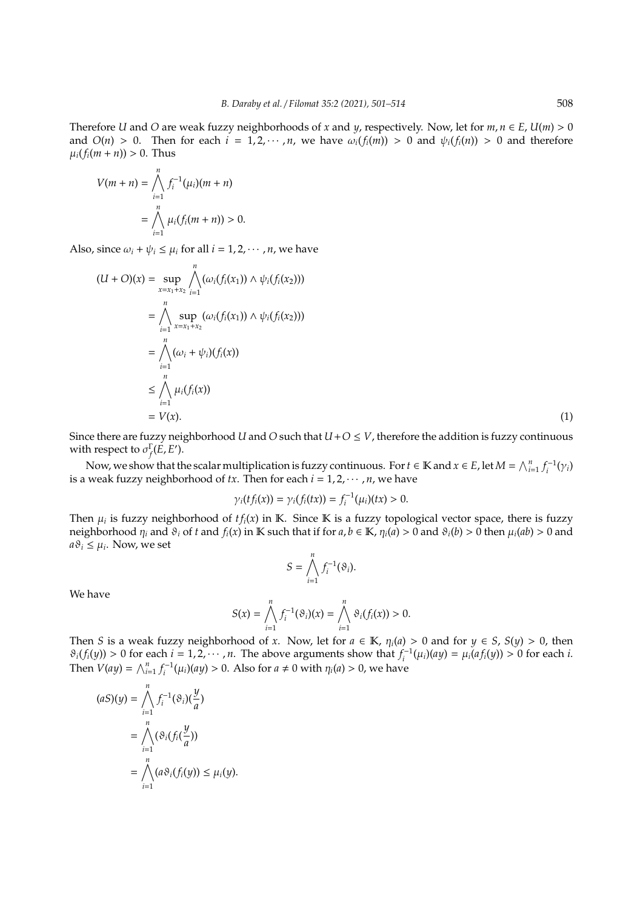Therefore *U* and *O* are weak fuzzy neighborhoods of *x* and *y*, respectively. Now, let for  $m, n \in E$ ,  $U(m) > 0$ and  $O(n) > 0$ . Then for each  $i = 1, 2, \dots, n$ , we have  $\omega_i(f_i(m)) > 0$  and  $\psi_i(f_i(n)) > 0$  and therefore  $\mu_i(f_i(m+n)) > 0$ . Thus

$$
V(m+n) = \bigwedge_{i=1}^{n} f_{i}^{-1}(\mu_{i})(m+n)
$$
  
= 
$$
\bigwedge_{i=1}^{n} \mu_{i}(f_{i}(m+n)) > 0.
$$

Also, since  $\omega_i + \psi_i \leq \mu_i$  for all  $i = 1, 2, \dots, n$ , we have

$$
(U + O)(x) = \sup_{x = x_1 + x_2} \bigwedge_{i=1}^{n} (\omega_i(f_i(x_1)) \wedge \psi_i(f_i(x_2)))
$$
  
\n
$$
= \bigwedge_{i=1}^{n} \sup_{x = x_1 + x_2} (\omega_i(f_i(x_1)) \wedge \psi_i(f_i(x_2)))
$$
  
\n
$$
= \bigwedge_{i=1}^{n} (\omega_i + \psi_i)(f_i(x))
$$
  
\n
$$
\leq \bigwedge_{i=1}^{n} \mu_i(f_i(x))
$$
  
\n
$$
= V(x).
$$
 (1)

Since there are fuzzy neighborhood *U* and *O* such that  $U + O \leq V$ , therefore the addition is fuzzy continuous with respect to  $\sigma_f^{\Gamma}(\vec{E}, E')$ .

Now, we show that the scalar multiplication is fuzzy continuous. For  $t \in \mathbb{K}$  and  $x \in E$ , let  $M = \bigwedge_{i=1}^{n} f_i^{-1}(\gamma_i)$ is a weak fuzzy neighborhood of *tx*. Then for each  $i = 1, 2, \cdots, n$ , we have

$$
\gamma_i(tf_i(x)) = \gamma_i(f_i(tx)) = f_i^{-1}(\mu_i)(tx) > 0.
$$

Then  $\mu_i$  is fuzzy neighborhood of  $tf_i(x)$  in K. Since K is a fuzzy topological vector space, there is fuzzy neighborhood  $\eta_i$  and  $\vartheta_i$  of *t* and  $f_i(x)$  in K such that if for  $a, b \in K$ ,  $\eta_i(a) > 0$  and  $\vartheta_i(b) > 0$  then  $\mu_i(ab) > 0$  and  $a\vartheta_i \leq \mu_i$ . Now, we set

$$
S=\bigwedge_{i=1}^n f_i^{-1}(\vartheta_i).
$$

We have

$$
S(x)=\bigwedge_{i=1}^n f_i^{-1}(\vartheta_i)(x)=\bigwedge_{i=1}^n \vartheta_i(f_i(x))>0.
$$

Then *S* is a weak fuzzy neighborhood of *x*. Now, let for  $a \in K$ ,  $\eta_i(a) > 0$  and for  $y \in S$ ,  $S(y) > 0$ , then  $\vartheta_i(f_i(y)) > 0$  for each  $i = 1, 2, \dots, n$ . The above arguments show that  $f_i^{-1}(\mu_i)(ay) = \mu_i(af_i(y)) > 0$  for each *i*. Then  $V(ay) = \bigwedge_{i=1}^{n} f_i^{-1}(\mu_i)(ay) > 0$ . Also for  $a \neq 0$  with  $\eta_i(a) > 0$ , we have

$$
(aS)(y) = \bigwedge_{i=1}^{n} f_i^{-1}(\vartheta_i) (\frac{y}{a})
$$
  
= 
$$
\bigwedge_{i=1}^{n} (\vartheta_i(f_i(\frac{y}{a}))
$$
  
= 
$$
\bigwedge_{i=1}^{n} (a\vartheta_i(f_i(y)) \le \mu_i(y).
$$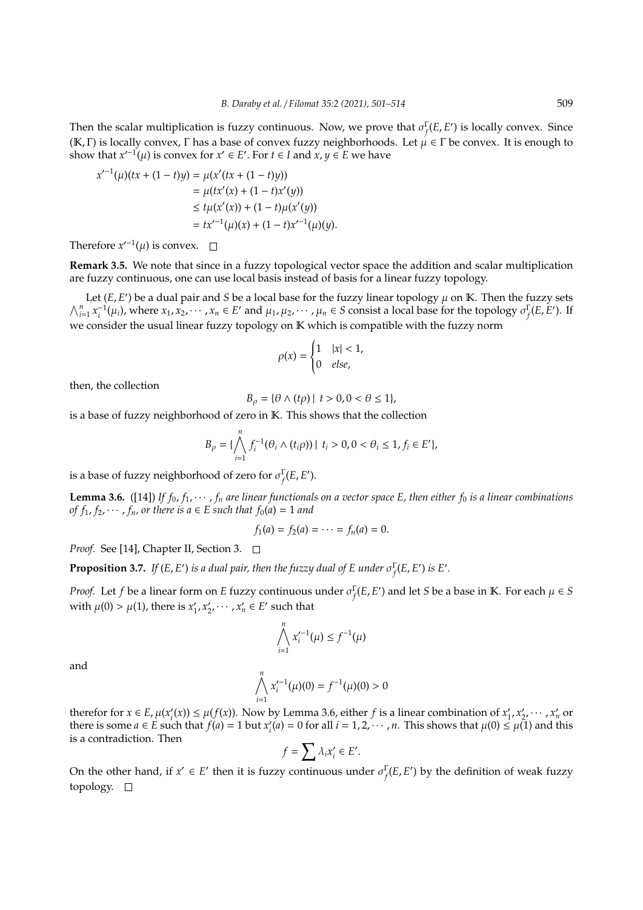Then the scalar multiplication is fuzzy continuous. Now, we prove that  $\sigma_f^{\Gamma}(E, E')$  is locally convex. Since (K, Γ) is locally convex, Γ has a base of convex fuzzy neighborhoods. Let  $\mu \in \Gamma$  be convex. It is enough to show that  $x'^{-1}(\mu)$  is convex for  $x' \in E'$ . For  $t \in I$  and  $x, y \in E$  we have

$$
x'^{-1}(\mu)(tx + (1-t)y) = \mu(x'(tx + (1-t)y))
$$
  
=  $\mu(tx'(x) + (1-t)x'(y))$   
 $\le t\mu(x'(x)) + (1-t)\mu(x'(y))$   
=  $tx'^{-1}(\mu)(x) + (1-t)x'^{-1}(\mu)(y).$ 

Therefore  $x'^{-1}(\mu)$  is convex.

**Remark 3.5.** We note that since in a fuzzy topological vector space the addition and scalar multiplication are fuzzy continuous, one can use local basis instead of basis for a linear fuzzy topology.

Let  $(E, E')$  be a dual pair and *S* be a local base for the fuzzy linear topology  $\mu$  on K. Then the fuzzy sets  $\bigwedge_{i=1}^{n} x_i^{-1}(\mu_i)$ , where  $x_1, x_2, \dots, x_n \in E'$  and  $\mu_1, \mu_2, \dots, \mu_n \in S$  consist a local base for the topology  $\sigma_f^{\Gamma}(E, E')$ . If we consider the usual linear fuzzy topology on K which is compatible with the fuzzy norm

$$
\rho(x) = \begin{cases} 1 & |x| < 1, \\ 0 & else, \end{cases}
$$

then, the collection

$$
B_{\rho} = \{ \theta \wedge (t\rho) \mid t > 0, 0 < \theta \le 1 \},
$$

is a base of fuzzy neighborhood of zero in K. This shows that the collection

$$
B_{\rho} = \{ \bigwedge_{i=1}^{n} f_{i}^{-1}(\theta_{i} \wedge (t_{i}\rho)) \mid t_{i} > 0, 0 < \theta_{i} \leq 1, f_{i} \in E' \},
$$

is a base of fuzzy neighborhood of zero for  $\sigma_f^{\Gamma}(E, E')$ .

**Lemma 3.6.** ([14]) *If*  $f_0, f_1, \dots, f_n$  are linear functionals on a vector space E, then either  $f_0$  *is a linear combinations of*  $f_1$ ,  $f_2$ ,  $\dots$ ,  $f_n$ , *or there is a*  $\in$  *E such that*  $f_0$ (*a*) = 1 *and* 

$$
f_1(a) = f_2(a) = \cdots = f_n(a) = 0.
$$

*Proof.* See [14], Chapter II, Section 3. □

**Proposition 3.7.** *If* (*E*, *E'*) *is a dual pair, then the fuzzy dual of E under*  $\sigma_f^{\Gamma}(E, E')$  *is E'*.

*Proof.* Let *f* be a linear form on *E* fuzzy continuous under  $\sigma_f^{\Gamma}(E, E')$  and let *S* be a base in K. For each  $\mu \in S$ with  $\mu(0) > \mu(1)$ , there is  $x_1$  $x'_1, x'_2$  $x'_2, \dots, x'_n \in E'$  such that

$$
\bigwedge_{i=1}^n x_i'^{-1}(\mu) \le f^{-1}(\mu)
$$

and

$$
\bigwedge_{i=1}^n x_i'^{-1}(\mu)(0) = f^{-1}(\mu)(0) > 0
$$

therefor for  $x \in E$ ,  $\mu(x)$  $u'_i(x) \le \mu(f(x))$ . Now by Lemma 3.6, either *f* is a linear combination of *x*<sup>1</sup>  $x'_1, x'_2$  $x'_1 \cdots$ ,  $x'_n$  or there is some  $a \in E$  such that  $f(a) = 1$  but  $x_i$  $\mathcal{U}'_i(a) = 0$  for all  $i = 1, 2, \cdots, n$ . This shows that  $\mu(0) \leq \mu(1)$  and this is a contradiction. Then

$$
f = \sum \lambda_i x'_i \in E'.
$$

On the other hand, if  $x' \in E'$  then it is fuzzy continuous under  $\sigma_f^{\Gamma}(E, E')$  by the definition of weak fuzzy topology. □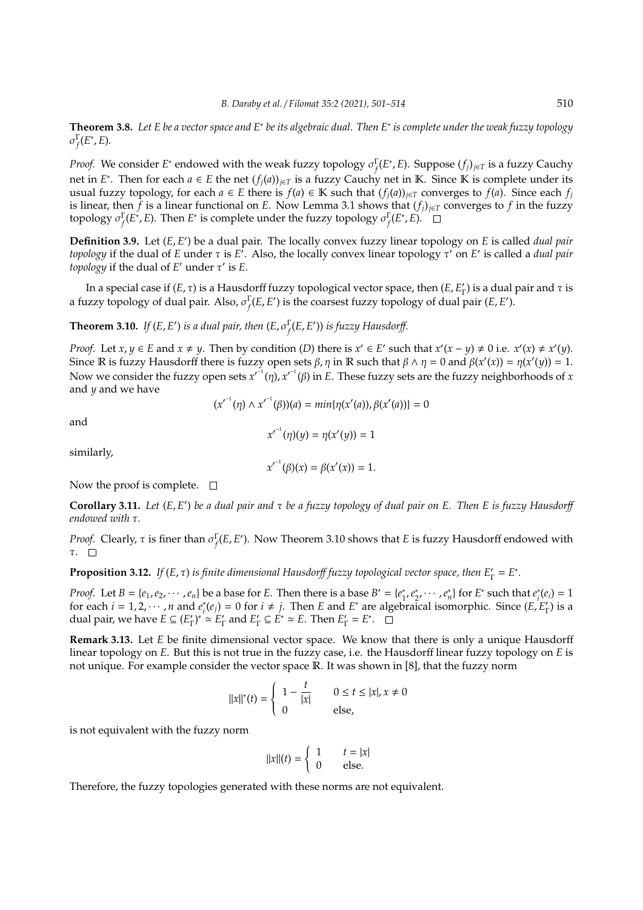**Theorem 3.8.** *Let E be a vector space and E*<sup>∗</sup> *be its algebraic dual. Then E*<sup>∗</sup> *is complete under the weak fuzzy topology*  $\sigma_f^{\Gamma}(E^*,E)$ .

*Proof.* We consider *E*<sup>\*</sup> endowed with the weak fuzzy topology  $\sigma_f^{\Gamma}(E^*, E)$ . Suppose  $(f_j)_{j \in T}$  is a fuzzy Cauchy net in *E*<sup>∗</sup>. Then for each *a* ∈ *E* the net  $(f_j(a))_{j \in T}$  is a fuzzy Cauchy net in K. Since K is complete under its usual fuzzy topology, for each *a* ∈ *E* there is  $f(a)$  ∈ **K** such that  $(f_i(a))_{i \in T}$  converges to  $f(a)$ . Since each  $f_i$ is linear, then *f* is a linear functional on *E*. Now Lemma 3.1 shows that  $(f_j)_{j\in T}$  converges to *f* in the fuzzy topology  $\sigma_f^{\Gamma}(E^*, E)$ . Then *E*<sup>\*</sup> is complete under the fuzzy topology  $\sigma_f^{\Gamma}(E^*, E)$ .

Definition 3.9. Let (*E*, *E'*) be a dual pair. The locally convex fuzzy linear topology on *E* is called *dual pair topology* if the dual of *E* under *τ* is *E*<sup>'</sup>. Also, the locally convex linear topology *τ*' on *E*' is called a *dual pair topology* if the dual of  $E'$  under  $\tau'$  is  $E$ .

In a special case if (*E*, τ) is a Hausdorff fuzzy topological vector space, then (*E*, *E*<sup>1</sup>  $\binom{r}{\Gamma}$  is a dual pair and  $\tau$  is a fuzzy topology of dual pair. Also,  $\sigma_f^{\Gamma}(E, E')$  is the coarsest fuzzy topology of dual pair  $(E, E')$ .

**Theorem 3.10.** *If* (*E*, *E*') *is a dual pair, then* (*E*,  $\sigma_f^{\Gamma}$ (*E*, *E'*)) *is fuzzy Hausdorff.* 

*Proof.* Let  $x, y \in E$  and  $x \neq y$ . Then by condition (D) there is  $x' \in E'$  such that  $x'(x - y) \neq 0$  i.e.  $x'(x) \neq x'(y)$ . Since  $\mathbb R$  is fuzzy Hausdorff there is fuzzy open sets  $\beta$ ,  $\eta$  in  $\mathbb R$  such that  $\beta \wedge \eta = 0$  and  $\beta(x'(x)) = \eta(x'(y)) = 1$ . Now we consider the fuzzy open sets  $x^{-1}(\eta)$ ,  $x^{-1}(\beta)$  in *E*. These fuzzy sets are the fuzzy neighborhoods of *x* and *y* and we have  $(x'^{-1}(\eta) \wedge x'^{-1}(\beta))(a) = min{\{\eta(x'(a)), \beta(x'(a))\}} = 0$ 

and

$$
{x'}^{-1}(\eta)(y) = \eta(x'(y)) = 1
$$

similarly,

$$
{x'}^{-1}(\beta)(x) = \beta(x'(x)) = 1.
$$

Now the proof is complete.  $\square$ 

**Corollary 3.11.** *Let* (*E*, *E* 0 ) *be a dual pair and* τ *be a fuzzy topology of dual pair on E. Then E is fuzzy Hausdor*ff *endowed with* τ*.*

*Proof.* Clearly,  $\tau$  is finer than  $\sigma_f^{\Gamma}(E, E')$ . Now Theorem 3.10 shows that *E* is fuzzy Hausdorff endowed with τ.

**Proposition 3.12.** *If* (*E*,  $\tau$ ) *is finite dimensional Hausdorff fuzzy topological vector space, then*  $E'_{\Gamma} = E^*$ *.* 

*Proof.* Let  $B = \{e_1, e_2, \dots, e_n\}$  be a base for *E*. Then there is a base  $B' = \{e_1^* \}$ 1 ,*e* ∗  $\{e_1^*, \cdots, e_n^*\}$  for  $E^*$  such that  $e_i^*$  $i^*$ <sub>*i*</sub> $(e_i) = 1$ for each  $i = 1, 2, \cdots, n$  and  $e_i^*$  $i^*(e_j) = 0$  for  $i \neq j$ . Then *E* and *E*<sup>\*</sup> are algebraical isomorphic. Since  $(E, E_j)$  $'_{\Gamma}$ ) is a dual pair, we have  $E \subseteq (E_1)$  $(F)$ <sup>\*</sup>  $\simeq$   $E'_{I}$  $\frac{r}{\Gamma}$  and  $E_{\rm I}^{\prime}$  $F_{\Gamma} \subseteq E^* \simeq E$ . Then  $E_{\Gamma}$  $'_{\Gamma} = E^*$ .

**Remark 3.13.** Let *E* be finite dimensional vector space. We know that there is only a unique Hausdorff linear topology on *E*. But this is not true in the fuzzy case, i.e. the Hausdorff linear fuzzy topology on *E* is not unique. For example consider the vector space R. It was shown in [8], that the fuzzy norm

$$
||x||^*(t) = \begin{cases} 1 - \frac{t}{|x|} & 0 \le t \le |x|, x \ne 0 \\ 0 & \text{else,} \end{cases}
$$

is not equivalent with the fuzzy norm

$$
||x||(t) = \begin{cases} 1 & t = |x| \\ 0 & \text{else.} \end{cases}
$$

Therefore, the fuzzy topologies generated with these norms are not equivalent.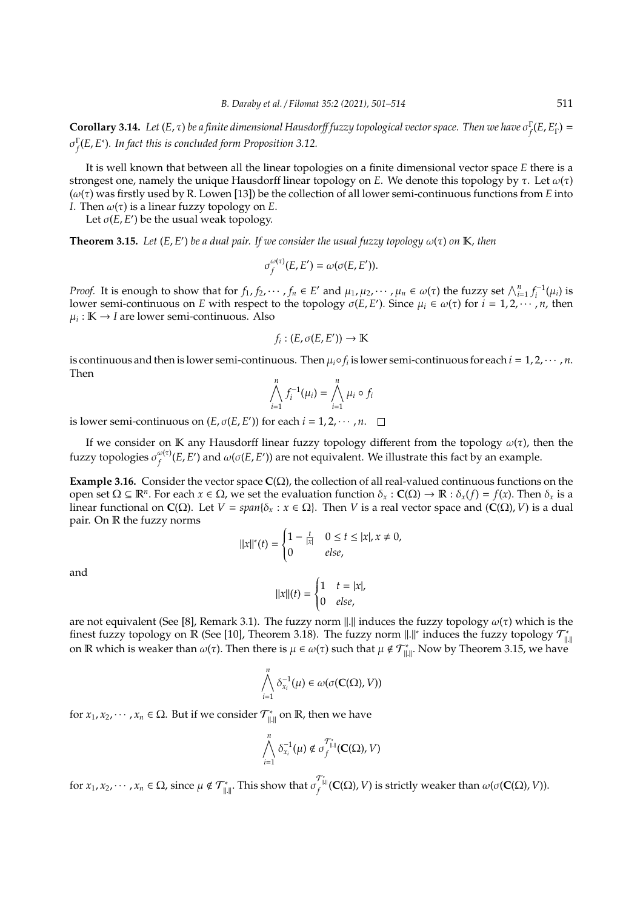**Corollary 3.14.** Let (Ε, τ) be a finite dimensional Hausdorff fuzzy topological vector space. Then we have  $\sigma_f^{\Gamma}(E, E_1')$  $'_{\Gamma}$ ) = σ Γ *f* (*E*, *E* ∗ )*. In fact this is concluded form Proposition 3.12.*

It is well known that between all the linear topologies on a finite dimensional vector space *E* there is a strongest one, namely the unique Hausdorff linear topology on *E*. We denote this topology by  $\tau$ . Let  $\omega(\tau)$ (ω(τ) was firstly used by R. Lowen [13]) be the collection of all lower semi-continuous functions from *E* into *I*. Then  $\omega(\tau)$  is a linear fuzzy topology on *E*.

Let  $\sigma(E, E)$  be the usual weak topology.

**Theorem 3.15.** *Let* (*E*, *E'*) *be a dual pair. If we consider the usual fuzzy topology*  $\omega(\tau)$  *on* **K**, then

$$
\sigma_f^{\omega(\tau)}(E, E') = \omega(\sigma(E, E')).
$$

*Proof.* It is enough to show that for  $f_1, f_2, \dots, f_n \in E'$  and  $\mu_1, \mu_2, \dots, \mu_n \in \omega(\tau)$  the fuzzy set  $\bigwedge_{i=1}^n f_i^{-1}(\mu_i)$  is lower semi-continuous on *E* with respect to the topology  $\sigma(E, E')$ . Since  $\mu_i \in \omega(\tau)$  for  $i = 1, 2, \dots, n$ , then  $\mu_i : \mathbb{K} \to I$  are lower semi-continuous. Also

$$
f_i:(E,\sigma(E,E'))\to\mathbb{K}
$$

is continuous and then is lower semi-continuous. Then  $\mu_i \circ f_i$  is lower semi-continuous for each  $i = 1, 2, \cdots, n$ . Then

$$
\bigwedge_{i=1}^n f_i^{-1}(\mu_i) = \bigwedge_{i=1}^n \mu_i \circ f_i
$$

is lower semi-continuous on  $(E, \sigma(E, E'))$  for each  $i = 1, 2, \cdots, n$ .

If we consider on K any Hausdorff linear fuzzy topology different from the topology  $\omega(\tau)$ , then the fuzzy topologies  $\sigma_{f}^{\omega(\tau)}$  $\frac{\omega(\tau)}{f}(E,E')$  and  $\omega(\sigma(E,E'))$  are not equivalent. We illustrate this fact by an example.

**Example 3.16.** Consider the vector space **C**(Ω), the collection of all real-valued continuous functions on the open set Ω ⊆  $\mathbb{R}^n$ . For each *x* ∈ Ω, we set the evaluation function  $\delta_x$  : **C**(Ω) →  $\mathbb{R}$  :  $\delta_x(f) = f(x)$ . Then  $\delta_x$  is a linear functional on **C**(Ω). Let  $V = span{\delta_x : x \in \Omega}$ . Then *V* is a real vector space and (**C**(Ω), *V*) is a dual pair. On R the fuzzy norms

$$
||x||^*(t) = \begin{cases} 1 - \frac{t}{|x|} & 0 \le t \le |x|, x \ne 0, \\ 0 & else, \end{cases}
$$

and

$$
||x||(t) = \begin{cases} 1 & t = |x|, \\ 0 & else, \end{cases}
$$

are not equivalent (See [8], Remark 3.1). The fuzzy norm  $\|.\|$  induces the fuzzy topology  $\omega(\tau)$  which is the finest fuzzy topology on  $\mathbb R$  (See [10], Theorem 3.18). The fuzzy norm  $\|.\|$  induces the fuzzy topology  $\mathcal T_{\|.\|}^*$ on R which is weaker than  $\omega(\tau)$ . Then there is  $\mu \in \omega(\tau)$  such that  $\mu \notin \mathcal{T}_{\|\cdot\|}^*$ . Now by Theorem 3.15, we have

$$
\bigwedge_{i=1}^n \delta_{x_i}^{-1}(\mu) \in \omega(\sigma(\mathbf{C}(\Omega),V))
$$

for  $x_1, x_2, \dots, x_n \in \Omega$ . But if we consider  $\mathcal{T}_{\|\cdot\|}^*$  on  $\mathbb{R}$ , then we have

$$
\bigwedge_{i=1}^n \delta_{x_i}^{-1}(\mu) \notin \sigma_f^{\mathcal{T}_{\|\cdot\|}}(\mathbf{C}(\Omega), V)
$$

for  $x_1, x_2, \dots, x_n \in \Omega$ , since  $\mu \notin \mathcal{T}_{\|\cdot\|}^*$ . This show that  $\sigma_f^{\mathcal{T}_{\|\cdot\|}}$ *f* (**C**(Ω), *V*) is strictly weaker than ω(σ(**C**(Ω), *V*)).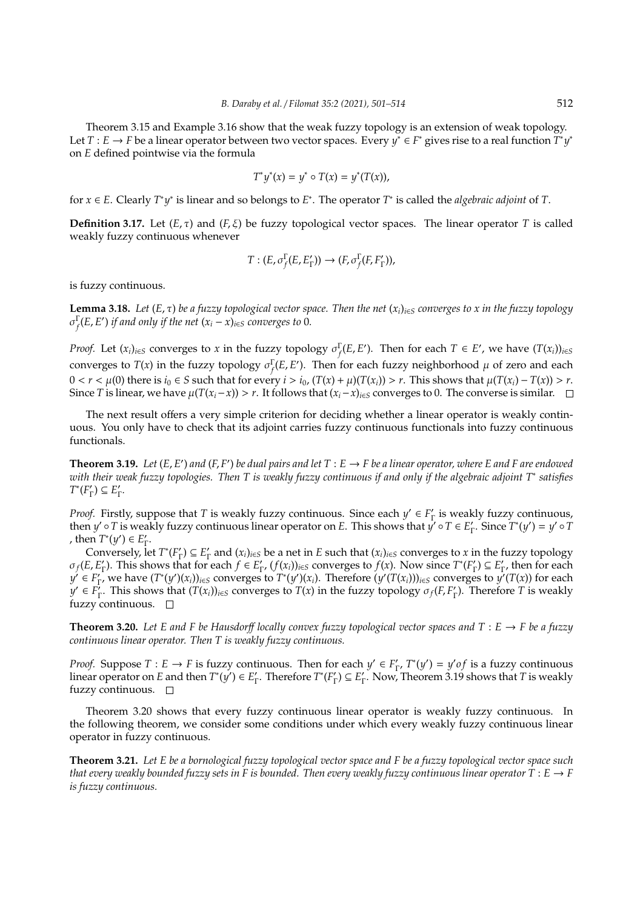Theorem 3.15 and Example 3.16 show that the weak fuzzy topology is an extension of weak topology. Let  $T: E \to F$  be a linear operator between two vector spaces. Every  $y^* \in F^*$  gives rise to a real function  $\widetilde{T^*}y^*$ on *E* defined pointwise via the formula

$$
T^*y^*(x) = y^* \circ T(x) = y^*(T(x)),
$$

for  $x \in E$ . Clearly  $T^*y^*$  is linear and so belongs to  $E^*$ . The operator  $T^*$  is called the *algebraic adjoint* of  $T$ .

**Definition 3.17.** Let  $(E, \tau)$  and  $(F, \xi)$  be fuzzy topological vector spaces. The linear operator *T* is called weakly fuzzy continuous whenever

$$
T:(E,\sigma_f^{\Gamma}(E,E'_\Gamma))\to (F,\sigma_f^{\Gamma}(F,F'_\Gamma)),
$$

is fuzzy continuous.

**Lemma 3.18.** *Let* (*E*,  $\tau$ ) *be a fuzzy topological vector space. Then the net*  $(x_i)_{i \in S}$  *converges to x in the fuzzy topology*  $\sigma_f^{\Gamma}(E, E')$  *if and only if the net*  $(x_i - x)_{i \in S}$  *converges to* 0*.* 

*Proof.* Let  $(x_i)_{i \in S}$  converges to x in the fuzzy topology  $\sigma_f^{\Gamma}(E, E')$ . Then for each  $T \in E'$ , we have  $(T(x_i))_{i \in S}$ converges to  $T(x)$  in the fuzzy topology  $\sigma_f^{\Gamma}(E, E')$ . Then for each fuzzy neighborhood  $\mu$  of zero and each  $0 < r < \mu(0)$  there is  $i_0 \in S$  such that for every  $i > i_0$ ,  $(T(x) + \mu)(T(x_i)) > r$ . This shows that  $\mu(T(x_i) - T(x)) > r$ . Since *T* is linear, we have  $\mu(T(x_i - x)) > r$ . It follows that  $(x_i - x)_{i \in S}$  converges to 0. The converse is similar. □

The next result offers a very simple criterion for deciding whether a linear operator is weakly continuous. You only have to check that its adjoint carries fuzzy continuous functionals into fuzzy continuous functionals.

**Theorem 3.19.** Let  $(E, E')$  and  $(F, F')$  be dual pairs and let  $T : E \to F$  be a linear operator, where E and F are endowed *with their weak fuzzy topologies. Then T is weakly fuzzy continuous if and only if the algebraic adjoint T*<sup>∗</sup> *satisfies T*<sup>\*</sup>(*F*<sub> $'$ </sub>  $F_{\Gamma}$ )  $\subseteq E_{\Gamma}'$ Γ *.*

*Proof.* Firstly, suppose that *T* is weakly fuzzy continuous. Since each  $y' \in F'_1$ Γ is weakly fuzzy continuous, then *y'*  $\circ$  *T* is weakly fuzzy continuous linear operator on *E*. This shows that *y'*  $\circ$  *T*  $\in$  *E*<sup>1</sup> Γ . Since *T* ∗ (*y* 0 ) = *y* <sup>0</sup> ◦*T ,* then  $T^*(y') \in E'_1$ ,<br>ŗ.

Conversely, let *T* ∗ (*F* 0  $\Gamma_{\Gamma}^{\prime}$ )  $\subseteq E_{\Gamma}^{\prime}$  $\sum_{i=1}^{n}$  and  $(x_i)_{i \in S}$  be a net in *E* such that  $(x_i)_{i \in S}$  converges to *x* in the fuzzy topology σ*f*(*E*, *E* 0  $f_{\Gamma}$ ). This shows that for each  $f \in E_{\Gamma}$  $f_{\Gamma'}$ ,  $(f(x_i))_{i \in S}$  converges to  $f(x)$ . Now since  $T^*(F_{\Gamma})$  $F_{\Gamma}$ )  $\subseteq E_{\Gamma}'$  $\int_{\Gamma}$ , then for each  $y' \in F'_{\tau}$  $\sum_{i=1}^{n}$  we have  $(T^*(y')(x_i))_{i\in S}$  converges to  $T^*(y')(x_i)$ . Therefore  $(y'(T(x_i)))_{i\in S}$  converges to  $y'(T(x))$  for each *y*′ ∈ *F*<sup>'</sup>  $\sum_{i=1}^{n}$ . This shows that  $(T(x_i))_{i\in S}$  converges to  $T(x)$  in the fuzzy topology  $\sigma_f(F, F_1)$ Γ ). Therefore *T* is weakly fuzzy continuous.  $\square$ 

**Theorem 3.20.** Let E and F be Hausdorff locally convex fuzzy topological vector spaces and  $T : E \to F$  be a fuzzy *continuous linear operator. Then T is weakly fuzzy continuous.*

*Proof.* Suppose  $T : E \to F$  is fuzzy continuous. Then for each  $y' \in F'_F$  $T'_\Gamma$ ,  $T^*(y') = y'$ of is a fuzzy continuous linear operator on *E* and then  $T^*(y') \in E'_1$  $T$ <sup>\*</sup> ( $F'_{\text{I}}$ ) Therefore  $T^*$  $F_{\Gamma}$ )  $\subseteq E_{\Gamma}'$ Γ . Now, Theorem 3.19 shows that *T* is weakly fuzzy continuous.  $\square$ 

Theorem 3.20 shows that every fuzzy continuous linear operator is weakly fuzzy continuous. In the following theorem, we consider some conditions under which every weakly fuzzy continuous linear operator in fuzzy continuous.

**Theorem 3.21.** *Let E be a bornological fuzzy topological vector space and F be a fuzzy topological vector space such that every weakly bounded fuzzy sets in F is bounded. Then every weakly fuzzy continuous linear operator*  $T : E \to F$ *is fuzzy continuous.*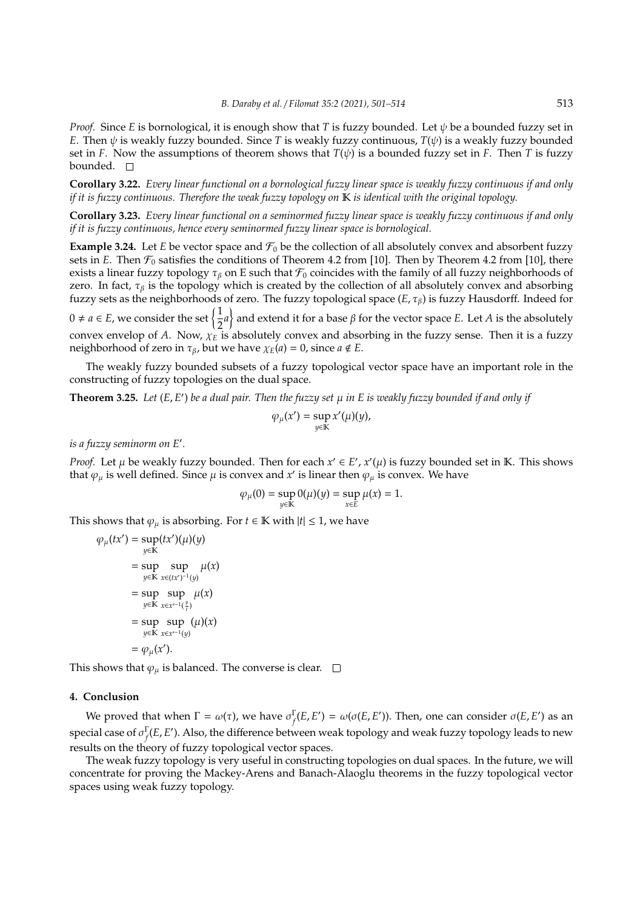*Proof.* Since *E* is bornological, it is enough show that *T* is fuzzy bounded. Let  $\psi$  be a bounded fuzzy set in *E*. Then  $\psi$  is weakly fuzzy bounded. Since *T* is weakly fuzzy continuous,  $T(\psi)$  is a weakly fuzzy bounded set in *F*. Now the assumptions of theorem shows that  $T(\psi)$  is a bounded fuzzy set in *F*. Then *T* is fuzzy bounded. □

**Corollary 3.22.** *Every linear functional on a bornological fuzzy linear space is weakly fuzzy continuous if and only if it is fuzzy continuous. Therefore the weak fuzzy topology on* K *is identical with the original topology.*

**Corollary 3.23.** *Every linear functional on a seminormed fuzzy linear space is weakly fuzzy continuous if and only if it is fuzzy continuous, hence every seminormed fuzzy linear space is bornological.*

**Example 3.24.** Let *E* be vector space and  $\mathcal{F}_0$  be the collection of all absolutely convex and absorbent fuzzy sets in *E*. Then  $\mathcal{F}_0$  satisfies the conditions of Theorem 4.2 from [10]. Then by Theorem 4.2 from [10], there exists a linear fuzzy topology  $\tau_\beta$  on E such that  $\mathcal{F}_0$  coincides with the family of all fuzzy neighborhoods of zero. In fact,  $\tau_\beta$  is the topology which is created by the collection of all absolutely convex and absorbing fuzzy sets as the neighborhoods of zero. The fuzzy topological space  $(E, \tau_\beta)$  is fuzzy Hausdorff. Indeed for

0 ≠ *a* ∈ *E*, we consider the set  $\left\{\frac{1}{2}\right\}$  $\left\{\frac{1}{2}a\right\}$  and extend it for a base  $\beta$  for the vector space *E*. Let *A* is the absolutely convex envelop of *A*. Now, χ*<sup>E</sup>* is absolutely convex and absorbing in the fuzzy sense. Then it is a fuzzy neighborhood of zero in  $\tau_{\beta}$ , but we have  $\chi_E(a) = 0$ , since  $a \notin E$ .

The weakly fuzzy bounded subsets of a fuzzy topological vector space have an important role in the constructing of fuzzy topologies on the dual space.

**Theorem 3.25.** Let (E, E') be a dual pair. Then the fuzzy set  $\mu$  in E is weakly fuzzy bounded if and only if

$$
\varphi_\mu(x')=\sup_{y\in\mathbb{K}}x'(\mu)(y),
$$

*is a fuzzy seminorm on E'*.

*Proof.* Let  $\mu$  be weakly fuzzy bounded. Then for each  $x' \in E'$ ,  $x'(\mu)$  is fuzzy bounded set in K. This shows that  $\varphi_{\mu}$  is well defined. Since  $\mu$  is convex and  $x'$  is linear then  $\varphi_{\mu}$  is convex. We have

$$
\varphi_\mu(0)=\sup_{y\in\mathbb{K}}0(\mu)(y)=\sup_{x\in E}\mu(x)=1.
$$

This shows that  $\varphi_{\mu}$  is absorbing. For *t* ∈ **K** with  $|t| \leq 1$ , we have

$$
\varphi_{\mu}(tx') = \sup_{y \in \mathbb{K}} (tx')(\mu)(y)
$$
  
\n
$$
= \sup_{y \in \mathbb{K}} \sup_{x \in (tx')^{-1}(y)} \mu(x)
$$
  
\n
$$
= \sup_{y \in \mathbb{K}} \sup_{x \in x'^{-1}(\frac{y}{t})} \mu(x)
$$
  
\n
$$
= \sup_{y \in \mathbb{K}} \sup_{x \in x'^{-1}(y)} (\mu)(x)
$$
  
\n
$$
= \varphi_{\mu}(x').
$$

This shows that  $\varphi_{\mu}$  is balanced. The converse is clear.  $\square$ 

#### **4. Conclusion**

We proved that when  $\Gamma = \omega(\tau)$ , we have  $\sigma_f^{\Gamma}(E, E') = \omega(\sigma(E, E'))$ . Then, one can consider  $\sigma(E, E')$  as an special case of  $\sigma_f^{\Gamma}(E, E')$ . Also, the difference between weak topology and weak fuzzy topology leads to new results on the theory of fuzzy topological vector spaces.

The weak fuzzy topology is very useful in constructing topologies on dual spaces. In the future, we will concentrate for proving the Mackey-Arens and Banach-Alaoglu theorems in the fuzzy topological vector spaces using weak fuzzy topology.